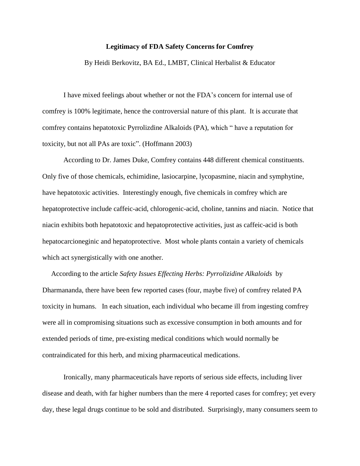## **Legitimacy of FDA Safety Concerns for Comfrey**

By Heidi Berkovitz, BA Ed., LMBT, Clinical Herbalist & Educator

I have mixed feelings about whether or not the FDA's concern for internal use of comfrey is 100% legitimate, hence the controversial nature of this plant. It is accurate that comfrey contains hepatotoxic Pyrrolizdine Alkaloids (PA), which " have a reputation for toxicity, but not all PAs are toxic". (Hoffmann 2003)

According to Dr. James Duke, Comfrey contains 448 different chemical constituents. Only five of those chemicals, echimidine, lasiocarpine, lycopasmine, niacin and symphytine, have hepatotoxic activities. Interestingly enough, five chemicals in comfrey which are hepatoprotective include caffeic-acid, chlorogenic-acid, choline, tannins and niacin. Notice that niacin exhibits both hepatotoxic and hepatoprotective activities, just as caffeic-acid is both hepatocarcioneginic and hepatoprotective. Most whole plants contain a variety of chemicals which act synergistically with one another.

 According to the article *Safety Issues Effecting Herbs: Pyrrolizidine Alkaloids* by Dharmananda, there have been few reported cases (four, maybe five) of comfrey related PA toxicity in humans. In each situation, each individual who became ill from ingesting comfrey were all in compromising situations such as excessive consumption in both amounts and for extended periods of time, pre-existing medical conditions which would normally be contraindicated for this herb, and mixing pharmaceutical medications.

Ironically, many pharmaceuticals have reports of serious side effects, including liver disease and death, with far higher numbers than the mere 4 reported cases for comfrey; yet every day, these legal drugs continue to be sold and distributed. Surprisingly, many consumers seem to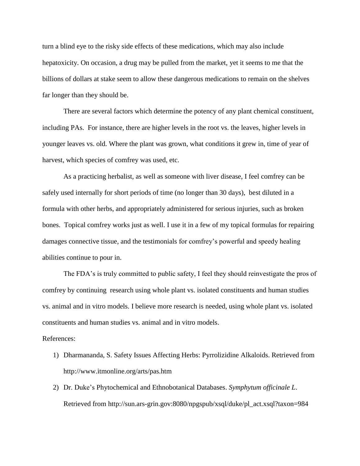turn a blind eye to the risky side effects of these medications, which may also include hepatoxicity. On occasion, a drug may be pulled from the market, yet it seems to me that the billions of dollars at stake seem to allow these dangerous medications to remain on the shelves far longer than they should be.

There are several factors which determine the potency of any plant chemical constituent, including PAs. For instance, there are higher levels in the root vs. the leaves, higher levels in younger leaves vs. old. Where the plant was grown, what conditions it grew in, time of year of harvest, which species of comfrey was used, etc.

As a practicing herbalist, as well as someone with liver disease, I feel comfrey can be safely used internally for short periods of time (no longer than 30 days), best diluted in a formula with other herbs, and appropriately administered for serious injuries, such as broken bones. Topical comfrey works just as well. I use it in a few of my topical formulas for repairing damages connective tissue, and the testimonials for comfrey's powerful and speedy healing abilities continue to pour in.

The FDA's is truly committed to public safety, I feel they should reinvestigate the pros of comfrey by continuing research using whole plant vs. isolated constituents and human studies vs. animal and in vitro models. I believe more research is needed, using whole plant vs. isolated constituents and human studies vs. animal and in vitro models.

## References:

- 1) Dharmananda, S. Safety Issues Affecting Herbs: Pyrrolizidine Alkaloids. Retrieved from http://www.itmonline.org/arts/pas.htm
- 2) Dr. Duke's Phytochemical and Ethnobotanical Databases. *Symphytum officinale L*. Retrieved from http://sun.ars-grin.gov:8080/npgspub/xsql/duke/pl\_act.xsql?taxon=984